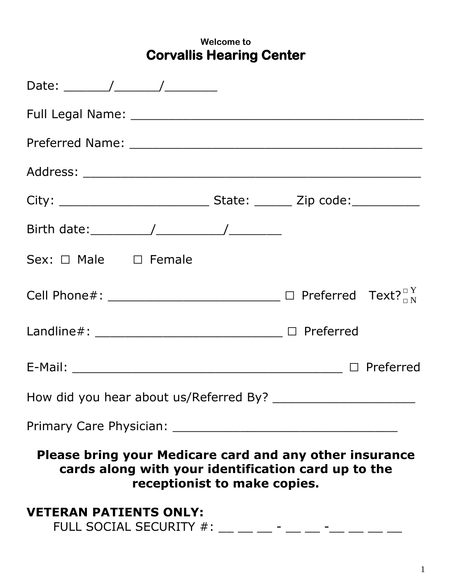## **Welcome to Corvallis Hearing Center**

| Sex: □ Male □ Female                                                                                                                           |  |  |
|------------------------------------------------------------------------------------------------------------------------------------------------|--|--|
| Cell Phone#: ____________________________ $\Box$ Preferred Text? $\Box^Y$                                                                      |  |  |
| Landline#: _______________________________ □ Preferred                                                                                         |  |  |
|                                                                                                                                                |  |  |
|                                                                                                                                                |  |  |
| Primary Care Physician:                                                                                                                        |  |  |
| Please bring your Medicare card and any other insurance<br>cards along with your identification card up to the<br>receptionist to make copies. |  |  |
| <b>VETERAN PATIENTS ONLY:</b><br>FULL SOCIAL SECURITY #:                                                                                       |  |  |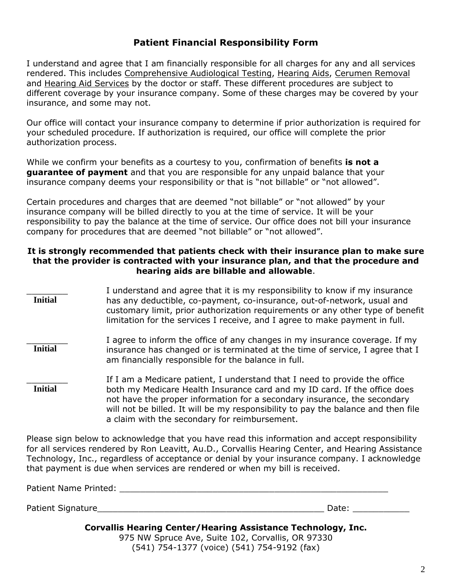## **Patient Financial Responsibility Form**

I understand and agree that I am financially responsible for all charges for any and all services rendered. This includes Comprehensive Audiological Testing, Hearing Aids, Cerumen Removal and Hearing Aid Services by the doctor or staff. These different procedures are subject to different coverage by your insurance company. Some of these charges may be covered by your insurance, and some may not.

Our office will contact your insurance company to determine if prior authorization is required for your scheduled procedure. If authorization is required, our office will complete the prior authorization process.

While we confirm your benefits as a courtesy to you, confirmation of benefits **is not a guarantee of payment** and that you are responsible for any unpaid balance that your insurance company deems your responsibility or that is "not billable" or "not allowed".

Certain procedures and charges that are deemed "not billable" or "not allowed" by your insurance company will be billed directly to you at the time of service. It will be your responsibility to pay the balance at the time of service. Our office does not bill your insurance company for procedures that are deemed "not billable" or "not allowed".

### **It is strongly recommended that patients check with their insurance plan to make sure that the provider is contracted with your insurance plan, and that the procedure and hearing aids are billable and allowable**.

I understand and agree that it is my responsibility to know if my insurance has any deductible, co-payment, co-insurance, out-of-network, usual and customary limit, prior authorization requirements or any other type of benefit limitation for the services I receive, and I agree to make payment in full. I agree to inform the office of any changes in my insurance coverage. If my insurance has changed or is terminated at the time of service, I agree that I am financially responsible for the balance in full. If I am a Medicare patient, I understand that I need to provide the office both my Medicare Health Insurance card and my ID card. If the office does not have the proper information for a secondary insurance, the secondary will not be billed. It will be my responsibility to pay the balance and then file a claim with the secondary for reimbursement. **Initial Initial Initial**

Please sign below to acknowledge that you have read this information and accept responsibility for all services rendered by Ron Leavitt, Au.D., Corvallis Hearing Center, and Hearing Assistance Technology, Inc., regardless of acceptance or denial by your insurance company. I acknowledge that payment is due when services are rendered or when my bill is received.

| Patient Name Printed: |  |
|-----------------------|--|
|                       |  |

Patient Signature\_\_\_\_\_\_\_\_\_\_\_\_\_\_\_\_\_\_\_\_\_\_\_\_\_\_\_\_\_\_\_\_\_\_\_\_\_\_\_\_\_\_\_\_ Date: \_\_\_\_\_\_\_\_\_\_\_

## **Corvallis Hearing Center/Hearing Assistance Technology, Inc.**

975 NW Spruce Ave, Suite 102, Corvallis, OR 97330 (541) 754-1377 (voice) (541) 754-9192 (fax)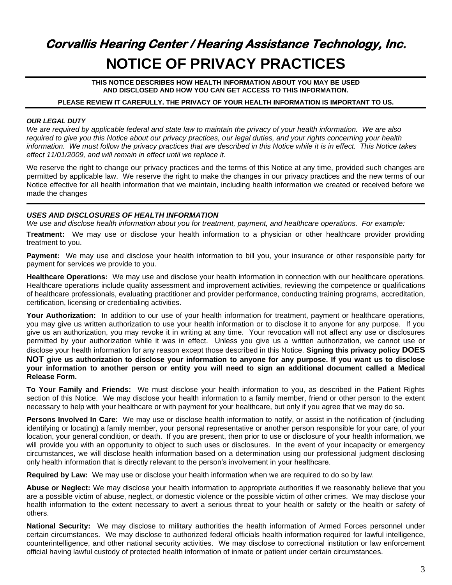# **Corvallis Hearing Center / Hearing Assistance Technology, Inc. NOTICE OF PRIVACY PRACTICES**

**THIS NOTICE DESCRIBES HOW HEALTH INFORMATION ABOUT YOU MAY BE USED AND DISCLOSED AND HOW YOU CAN GET ACCESS TO THIS INFORMATION.**

#### **PLEASE REVIEW IT CAREFULLY. THE PRIVACY OF YOUR HEALTH INFORMATION IS IMPORTANT TO US.**

#### *OUR LEGAL DUTY*

*We are required by applicable federal and state law to maintain the privacy of your health information. We are also required to give you this Notice about our privacy practices, our legal duties, and your rights concerning your health information. We must follow the privacy practices that are described in this Notice while it is in effect. This Notice takes effect 11/01/2009, and will remain in effect until we replace it.*

We reserve the right to change our privacy practices and the terms of this Notice at any time, provided such changes are permitted by applicable law. We reserve the right to make the changes in our privacy practices and the new terms of our Notice effective for all health information that we maintain, including health information we created or received before we made the changes

#### *USES AND DISCLOSURES OF HEALTH INFORMATION*

*We use and disclose health information about you for treatment, payment, and healthcare operations. For example:*

**Treatment:** We may use or disclose your health information to a physician or other healthcare provider providing treatment to you.

**Payment:** We may use and disclose your health information to bill you, your insurance or other responsible party for payment for services we provide to you.

**Healthcare Operations:** We may use and disclose your health information in connection with our healthcare operations. Healthcare operations include quality assessment and improvement activities, reviewing the competence or qualifications of healthcare professionals, evaluating practitioner and provider performance, conducting training programs, accreditation, certification, licensing or credentialing activities.

Your Authorization: In addition to our use of your health information for treatment, payment or healthcare operations, you may give us written authorization to use your health information or to disclose it to anyone for any purpose. If you give us an authorization, you may revoke it in writing at any time. Your revocation will not affect any use or disclosures permitted by your authorization while it was in effect. Unless you give us a written authorization, we cannot use or disclose your health information for any reason except those described in this Notice. **Signing this privacy policy DOES NOT give us authorization to disclose your information to anyone for any purpose. If you want us to disclose your information to another person or entity you will need to sign an additional document called a Medical Release Form.** 

**To Your Family and Friends:** We must disclose your health information to you, as described in the Patient Rights section of this Notice. We may disclose your health information to a family member, friend or other person to the extent necessary to help with your healthcare or with payment for your healthcare, but only if you agree that we may do so.

**Persons Involved In Care:** We may use or disclose health information to notify, or assist in the notification of (including identifying or locating) a family member, your personal representative or another person responsible for your care, of your location, your general condition, or death. If you are present, then prior to use or disclosure of your health information, we will provide you with an opportunity to object to such uses or disclosures. In the event of your incapacity or emergency circumstances, we will disclose health information based on a determination using our professional judgment disclosing only health information that is directly relevant to the person's involvement in your healthcare.

**Required by Law:** We may use or disclose your health information when we are required to do so by law.

**Abuse or Neglect:** We may disclose your health information to appropriate authorities if we reasonably believe that you are a possible victim of abuse, neglect, or domestic violence or the possible victim of other crimes. We may disclose your health information to the extent necessary to avert a serious threat to your health or safety or the health or safety of others.

**National Security:** We may disclose to military authorities the health information of Armed Forces personnel under certain circumstances. We may disclose to authorized federal officials health information required for lawful intelligence, counterintelligence, and other national security activities. We may disclose to correctional institution or law enforcement official having lawful custody of protected health information of inmate or patient under certain circumstances.